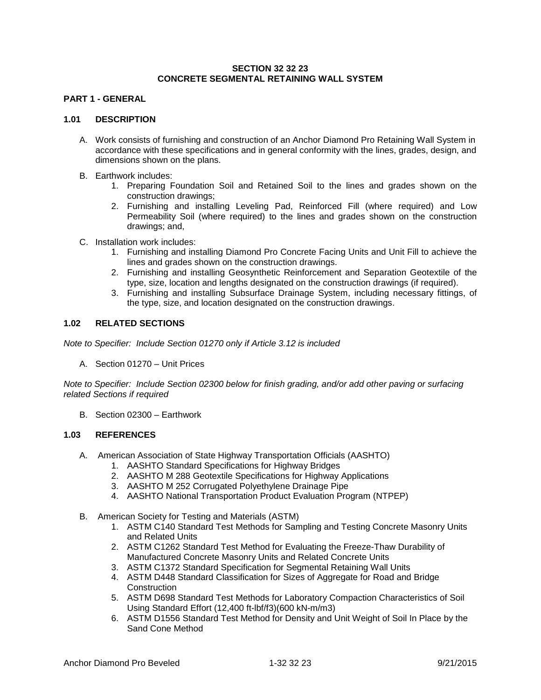### **SECTION 32 32 23 CONCRETE SEGMENTAL RETAINING WALL SYSTEM**

## **PART 1 - GENERAL**

#### **1.01 DESCRIPTION**

- A. Work consists of furnishing and construction of an Anchor Diamond Pro Retaining Wall System in accordance with these specifications and in general conformity with the lines, grades, design, and dimensions shown on the plans.
- B. Earthwork includes:
	- 1. Preparing Foundation Soil and Retained Soil to the lines and grades shown on the construction drawings;
	- 2. Furnishing and installing Leveling Pad, Reinforced Fill (where required) and Low Permeability Soil (where required) to the lines and grades shown on the construction drawings; and,
- C. Installation work includes:
	- 1. Furnishing and installing Diamond Pro Concrete Facing Units and Unit Fill to achieve the lines and grades shown on the construction drawings.
	- 2. Furnishing and installing Geosynthetic Reinforcement and Separation Geotextile of the type, size, location and lengths designated on the construction drawings (if required).
	- 3. Furnishing and installing Subsurface Drainage System, including necessary fittings, of the type, size, and location designated on the construction drawings.

## **1.02 RELATED SECTIONS**

*Note to Specifier: Include Section 01270 only if Article 3.12 is included*

A. Section 01270 – Unit Prices

*Note to Specifier: Include Section 02300 below for finish grading, and/or add other paving or surfacing related Sections if required*

B. Section 02300 – Earthwork

#### **1.03 REFERENCES**

- A. American Association of State Highway Transportation Officials (AASHTO)
	- 1. AASHTO Standard Specifications for Highway Bridges
	- 2. AASHTO M 288 Geotextile Specifications for Highway Applications
	- 3. AASHTO M 252 Corrugated Polyethylene Drainage Pipe
	- 4. AASHTO National Transportation Product Evaluation Program (NTPEP)
- B. American Society for Testing and Materials (ASTM)
	- 1. ASTM C140 Standard Test Methods for Sampling and Testing Concrete Masonry Units and Related Units
	- 2. ASTM C1262 Standard Test Method for Evaluating the Freeze-Thaw Durability of Manufactured Concrete Masonry Units and Related Concrete Units
	- 3. ASTM C1372 Standard Specification for Segmental Retaining Wall Units
	- 4. ASTM D448 Standard Classification for Sizes of Aggregate for Road and Bridge **Construction**
	- 5. ASTM D698 Standard Test Methods for Laboratory Compaction Characteristics of Soil Using Standard Effort (12,400 ft-lbf/f3)(600 kN-m/m3)
	- 6. ASTM D1556 Standard Test Method for Density and Unit Weight of Soil In Place by the Sand Cone Method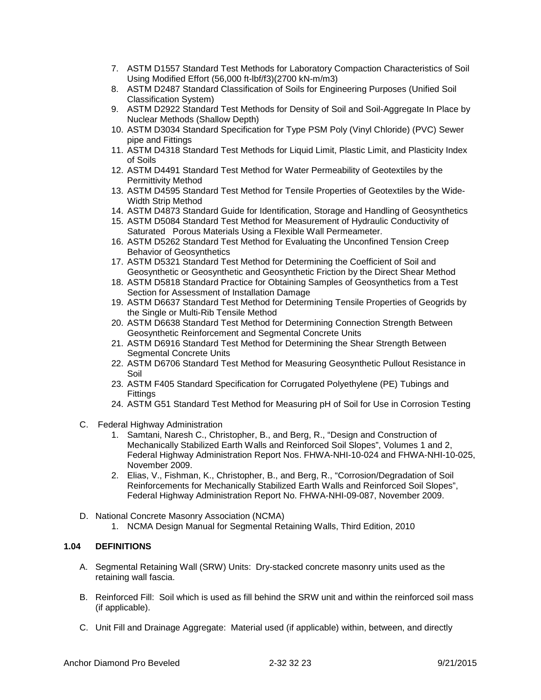- 7. ASTM D1557 Standard Test Methods for Laboratory Compaction Characteristics of Soil Using Modified Effort (56,000 ft-lbf/f3)(2700 kN-m/m3)
- 8. ASTM D2487 Standard Classification of Soils for Engineering Purposes (Unified Soil Classification System)
- 9. ASTM D2922 Standard Test Methods for Density of Soil and Soil-Aggregate In Place by Nuclear Methods (Shallow Depth)
- 10. ASTM D3034 Standard Specification for Type PSM Poly (Vinyl Chloride) (PVC) Sewer pipe and Fittings
- 11. ASTM D4318 Standard Test Methods for Liquid Limit, Plastic Limit, and Plasticity Index of Soils
- 12. ASTM D4491 Standard Test Method for Water Permeability of Geotextiles by the Permittivity Method
- 13. ASTM D4595 Standard Test Method for Tensile Properties of Geotextiles by the Wide-Width Strip Method
- 14. ASTM D4873 Standard Guide for Identification, Storage and Handling of Geosynthetics
- 15. ASTM D5084 Standard Test Method for Measurement of Hydraulic Conductivity of Saturated Porous Materials Using a Flexible Wall Permeameter.
- 16. ASTM D5262 Standard Test Method for Evaluating the Unconfined Tension Creep Behavior of Geosynthetics
- 17. ASTM D5321 Standard Test Method for Determining the Coefficient of Soil and Geosynthetic or Geosynthetic and Geosynthetic Friction by the Direct Shear Method
- 18. ASTM D5818 Standard Practice for Obtaining Samples of Geosynthetics from a Test Section for Assessment of Installation Damage
- 19. ASTM D6637 Standard Test Method for Determining Tensile Properties of Geogrids by the Single or Multi-Rib Tensile Method
- 20. ASTM D6638 Standard Test Method for Determining Connection Strength Between Geosynthetic Reinforcement and Segmental Concrete Units
- 21. ASTM D6916 Standard Test Method for Determining the Shear Strength Between Segmental Concrete Units
- 22. ASTM D6706 Standard Test Method for Measuring Geosynthetic Pullout Resistance in Soil
- 23. ASTM F405 Standard Specification for Corrugated Polyethylene (PE) Tubings and **Fittings**
- 24. ASTM G51 Standard Test Method for Measuring pH of Soil for Use in Corrosion Testing
- C. Federal Highway Administration
	- 1. Samtani, Naresh C., Christopher, B., and Berg, R., "Design and Construction of Mechanically Stabilized Earth Walls and Reinforced Soil Slopes", Volumes 1 and 2, Federal Highway Administration Report Nos. FHWA-NHI-10-024 and FHWA-NHI-10-025, November 2009.
	- 2. Elias, V., Fishman, K., Christopher, B., and Berg, R., "Corrosion/Degradation of Soil Reinforcements for Mechanically Stabilized Earth Walls and Reinforced Soil Slopes", Federal Highway Administration Report No. FHWA-NHI-09-087, November 2009.
- D. National Concrete Masonry Association (NCMA)
	- 1. NCMA Design Manual for Segmental Retaining Walls, Third Edition, 2010

# **1.04 DEFINITIONS**

- A. Segmental Retaining Wall (SRW) Units: Dry-stacked concrete masonry units used as the retaining wall fascia.
- B. Reinforced Fill: Soil which is used as fill behind the SRW unit and within the reinforced soil mass (if applicable).
- C. Unit Fill and Drainage Aggregate: Material used (if applicable) within, between, and directly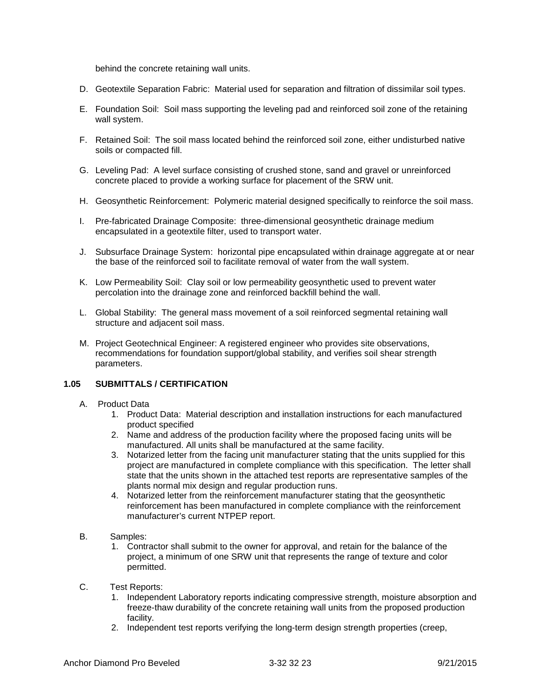behind the concrete retaining wall units.

- D. Geotextile Separation Fabric: Material used for separation and filtration of dissimilar soil types.
- E. Foundation Soil: Soil mass supporting the leveling pad and reinforced soil zone of the retaining wall system.
- F. Retained Soil: The soil mass located behind the reinforced soil zone, either undisturbed native soils or compacted fill.
- G. Leveling Pad: A level surface consisting of crushed stone, sand and gravel or unreinforced concrete placed to provide a working surface for placement of the SRW unit.
- H. Geosynthetic Reinforcement: Polymeric material designed specifically to reinforce the soil mass.
- I. Pre-fabricated Drainage Composite: three-dimensional geosynthetic drainage medium encapsulated in a geotextile filter, used to transport water.
- J. Subsurface Drainage System: horizontal pipe encapsulated within drainage aggregate at or near the base of the reinforced soil to facilitate removal of water from the wall system.
- K. Low Permeability Soil: Clay soil or low permeability geosynthetic used to prevent water percolation into the drainage zone and reinforced backfill behind the wall.
- L. Global Stability: The general mass movement of a soil reinforced segmental retaining wall structure and adjacent soil mass.
- M. Project Geotechnical Engineer: A registered engineer who provides site observations, recommendations for foundation support/global stability, and verifies soil shear strength parameters.

### **1.05 SUBMITTALS / CERTIFICATION**

- A. Product Data
	- 1. Product Data: Material description and installation instructions for each manufactured product specified
	- 2. Name and address of the production facility where the proposed facing units will be manufactured. All units shall be manufactured at the same facility.
	- 3. Notarized letter from the facing unit manufacturer stating that the units supplied for this project are manufactured in complete compliance with this specification. The letter shall state that the units shown in the attached test reports are representative samples of the plants normal mix design and regular production runs.
	- 4. Notarized letter from the reinforcement manufacturer stating that the geosynthetic reinforcement has been manufactured in complete compliance with the reinforcement manufacturer's current NTPEP report.
- B. Samples:
	- 1. Contractor shall submit to the owner for approval, and retain for the balance of the project, a minimum of one SRW unit that represents the range of texture and color permitted.
- C. Test Reports:
	- 1. Independent Laboratory reports indicating compressive strength, moisture absorption and freeze-thaw durability of the concrete retaining wall units from the proposed production facility.
	- 2. Independent test reports verifying the long-term design strength properties (creep,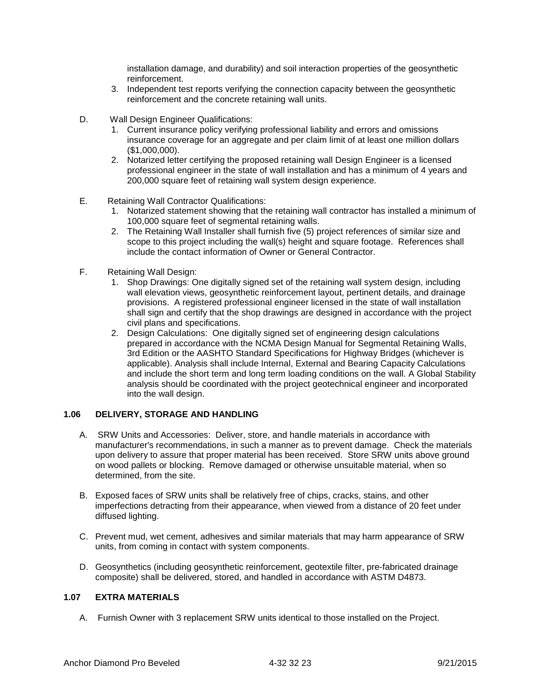installation damage, and durability) and soil interaction properties of the geosynthetic reinforcement.

- 3. Independent test reports verifying the connection capacity between the geosynthetic reinforcement and the concrete retaining wall units.
- D. Wall Design Engineer Qualifications:
	- 1. Current insurance policy verifying professional liability and errors and omissions insurance coverage for an aggregate and per claim limit of at least one million dollars (\$1,000,000).
	- 2. Notarized letter certifying the proposed retaining wall Design Engineer is a licensed professional engineer in the state of wall installation and has a minimum of 4 years and 200,000 square feet of retaining wall system design experience.
- E. Retaining Wall Contractor Qualifications:
	- 1. Notarized statement showing that the retaining wall contractor has installed a minimum of 100,000 square feet of segmental retaining walls.
	- 2. The Retaining Wall Installer shall furnish five (5) project references of similar size and scope to this project including the wall(s) height and square footage. References shall include the contact information of Owner or General Contractor.
- F. Retaining Wall Design:
	- 1. Shop Drawings: One digitally signed set of the retaining wall system design, including wall elevation views, geosynthetic reinforcement layout, pertinent details, and drainage provisions. A registered professional engineer licensed in the state of wall installation shall sign and certify that the shop drawings are designed in accordance with the project civil plans and specifications.
	- 2. Design Calculations: One digitally signed set of engineering design calculations prepared in accordance with the NCMA Design Manual for Segmental Retaining Walls, 3rd Edition or the AASHTO Standard Specifications for Highway Bridges (whichever is applicable). Analysis shall include Internal, External and Bearing Capacity Calculations and include the short term and long term loading conditions on the wall. A Global Stability analysis should be coordinated with the project geotechnical engineer and incorporated into the wall design.

## **1.06 DELIVERY, STORAGE AND HANDLING**

- A. SRW Units and Accessories: Deliver, store, and handle materials in accordance with manufacturer's recommendations, in such a manner as to prevent damage. Check the materials upon delivery to assure that proper material has been received. Store SRW units above ground on wood pallets or blocking. Remove damaged or otherwise unsuitable material, when so determined, from the site.
- B. Exposed faces of SRW units shall be relatively free of chips, cracks, stains, and other imperfections detracting from their appearance, when viewed from a distance of 20 feet under diffused lighting.
- C. Prevent mud, wet cement, adhesives and similar materials that may harm appearance of SRW units, from coming in contact with system components.
- D. Geosynthetics (including geosynthetic reinforcement, geotextile filter, pre-fabricated drainage composite) shall be delivered, stored, and handled in accordance with ASTM D4873.

### **1.07 EXTRA MATERIALS**

A. Furnish Owner with 3 replacement SRW units identical to those installed on the Project.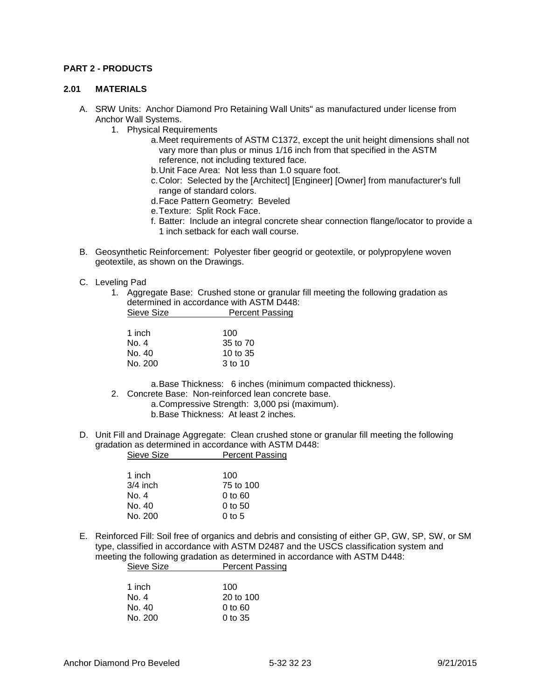### **PART 2 - PRODUCTS**

#### **2.01 MATERIALS**

- A. SRW Units: Anchor Diamond Pro Retaining Wall Units" as manufactured under license from Anchor Wall Systems.
	- 1. Physical Requirements
		- a.Meet requirements of ASTM C1372, except the unit height dimensions shall not vary more than plus or minus 1/16 inch from that specified in the ASTM reference, not including textured face.
		- b.Unit Face Area: Not less than 1.0 square foot.
		- c.Color: Selected by the [Architect] [Engineer] [Owner] from manufacturer's full range of standard colors.
		- d.Face Pattern Geometry: Beveled
		- e.Texture: Split Rock Face.
		- f. Batter: Include an integral concrete shear connection flange/locator to provide a 1 inch setback for each wall course.
- B. Geosynthetic Reinforcement: Polyester fiber geogrid or geotextile, or polypropylene woven geotextile, as shown on the Drawings.
- C. Leveling Pad
	- 1. Aggregate Base: Crushed stone or granular fill meeting the following gradation as determined in accordance with ASTM D448: Sieve Size **Percent Passing**

| 1 inch  | 100      |
|---------|----------|
| No. 4   | 35 to 70 |
| No. 40  | 10 to 35 |
| No. 200 | 3 to 10  |

a.Base Thickness: 6 inches (minimum compacted thickness).

- 2. Concrete Base: Non-reinforced lean concrete base.
	- a.Compressive Strength: 3,000 psi (maximum).
		- b.Base Thickness: At least 2 inches.
- D. Unit Fill and Drainage Aggregate: Clean crushed stone or granular fill meeting the following gradation as determined in accordance with ASTM D448: Sieve Size **Percent Passing**

| 1 inch     | 100                            |
|------------|--------------------------------|
| $3/4$ inch | 75 to 100                      |
| No. 4      | $0$ to $60$                    |
| No. 40     | $0$ to 50                      |
| No. 200    | 0 <sub>to</sub> 5 <sub>0</sub> |
|            |                                |

E. Reinforced Fill: Soil free of organics and debris and consisting of either GP, GW, SP, SW, or SM type, classified in accordance with ASTM D2487 and the USCS classification system and meeting the following gradation as determined in accordance with ASTM D448: Sieve Size **Percent Passing** 

| 1 inch  | 100                  |
|---------|----------------------|
| No. 4   | $20 \text{ to } 100$ |
| No. 40  | 0 to 60              |
| No. 200 | $0$ to 35            |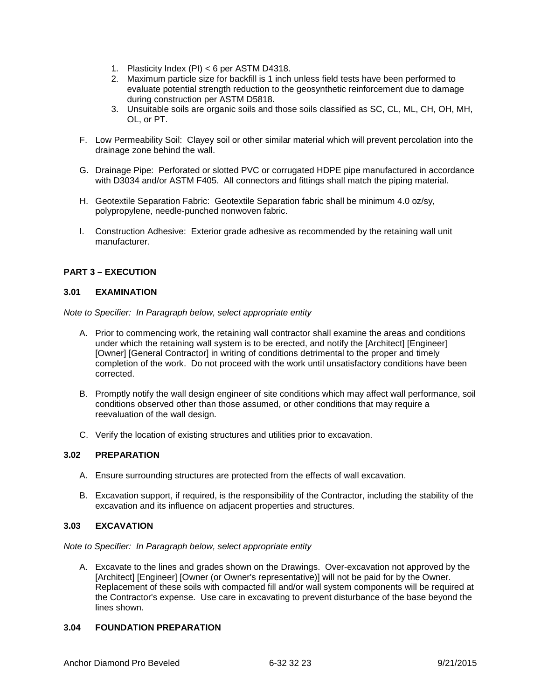- 1. Plasticity Index (PI) < 6 per ASTM D4318.
- 2. Maximum particle size for backfill is 1 inch unless field tests have been performed to evaluate potential strength reduction to the geosynthetic reinforcement due to damage during construction per ASTM D5818.
- 3. Unsuitable soils are organic soils and those soils classified as SC, CL, ML, CH, OH, MH, OL, or PT.
- F. Low Permeability Soil: Clayey soil or other similar material which will prevent percolation into the drainage zone behind the wall.
- G. Drainage Pipe: Perforated or slotted PVC or corrugated HDPE pipe manufactured in accordance with D3034 and/or ASTM F405. All connectors and fittings shall match the piping material.
- H. Geotextile Separation Fabric: Geotextile Separation fabric shall be minimum 4.0 oz/sy, polypropylene, needle-punched nonwoven fabric.
- I. Construction Adhesive: Exterior grade adhesive as recommended by the retaining wall unit manufacturer.

# **PART 3 – EXECUTION**

### **3.01 EXAMINATION**

*Note to Specifier: In Paragraph below, select appropriate entity*

- A. Prior to commencing work, the retaining wall contractor shall examine the areas and conditions under which the retaining wall system is to be erected, and notify the [Architect] [Engineer] [Owner] [General Contractor] in writing of conditions detrimental to the proper and timely completion of the work. Do not proceed with the work until unsatisfactory conditions have been corrected.
- B. Promptly notify the wall design engineer of site conditions which may affect wall performance, soil conditions observed other than those assumed, or other conditions that may require a reevaluation of the wall design.
- C. Verify the location of existing structures and utilities prior to excavation.

# **3.02 PREPARATION**

- A. Ensure surrounding structures are protected from the effects of wall excavation.
- B. Excavation support, if required, is the responsibility of the Contractor, including the stability of the excavation and its influence on adjacent properties and structures.

# **3.03 EXCAVATION**

*Note to Specifier: In Paragraph below, select appropriate entity*

A. Excavate to the lines and grades shown on the Drawings. Over-excavation not approved by the [Architect] [Engineer] [Owner (or Owner's representative)] will not be paid for by the Owner. Replacement of these soils with compacted fill and/or wall system components will be required at the Contractor's expense. Use care in excavating to prevent disturbance of the base beyond the lines shown.

# **3.04 FOUNDATION PREPARATION**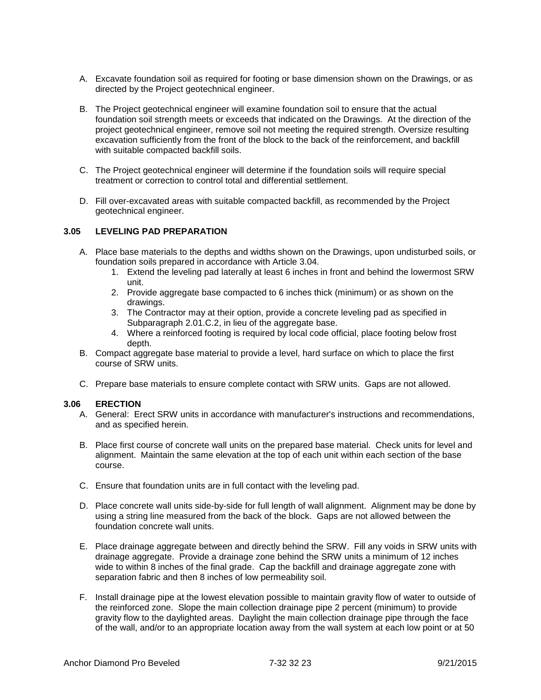- A. Excavate foundation soil as required for footing or base dimension shown on the Drawings, or as directed by the Project geotechnical engineer.
- B. The Project geotechnical engineer will examine foundation soil to ensure that the actual foundation soil strength meets or exceeds that indicated on the Drawings. At the direction of the project geotechnical engineer, remove soil not meeting the required strength. Oversize resulting excavation sufficiently from the front of the block to the back of the reinforcement, and backfill with suitable compacted backfill soils.
- C. The Project geotechnical engineer will determine if the foundation soils will require special treatment or correction to control total and differential settlement.
- D. Fill over-excavated areas with suitable compacted backfill, as recommended by the Project geotechnical engineer.

#### **3.05 LEVELING PAD PREPARATION**

- A. Place base materials to the depths and widths shown on the Drawings, upon undisturbed soils, or foundation soils prepared in accordance with Article 3.04.
	- 1. Extend the leveling pad laterally at least 6 inches in front and behind the lowermost SRW unit.
	- 2. Provide aggregate base compacted to 6 inches thick (minimum) or as shown on the drawings.
	- 3. The Contractor may at their option, provide a concrete leveling pad as specified in Subparagraph 2.01.C.2, in lieu of the aggregate base.
	- 4. Where a reinforced footing is required by local code official, place footing below frost depth.
- B. Compact aggregate base material to provide a level, hard surface on which to place the first course of SRW units.
- C. Prepare base materials to ensure complete contact with SRW units. Gaps are not allowed.

#### **3.06 ERECTION**

- A. General: Erect SRW units in accordance with manufacturer's instructions and recommendations, and as specified herein.
- B. Place first course of concrete wall units on the prepared base material. Check units for level and alignment. Maintain the same elevation at the top of each unit within each section of the base course.
- C. Ensure that foundation units are in full contact with the leveling pad.
- D. Place concrete wall units side-by-side for full length of wall alignment. Alignment may be done by using a string line measured from the back of the block. Gaps are not allowed between the foundation concrete wall units.
- E. Place drainage aggregate between and directly behind the SRW. Fill any voids in SRW units with drainage aggregate. Provide a drainage zone behind the SRW units a minimum of 12 inches wide to within 8 inches of the final grade. Cap the backfill and drainage aggregate zone with separation fabric and then 8 inches of low permeability soil.
- F. Install drainage pipe at the lowest elevation possible to maintain gravity flow of water to outside of the reinforced zone. Slope the main collection drainage pipe 2 percent (minimum) to provide gravity flow to the daylighted areas. Daylight the main collection drainage pipe through the face of the wall, and/or to an appropriate location away from the wall system at each low point or at 50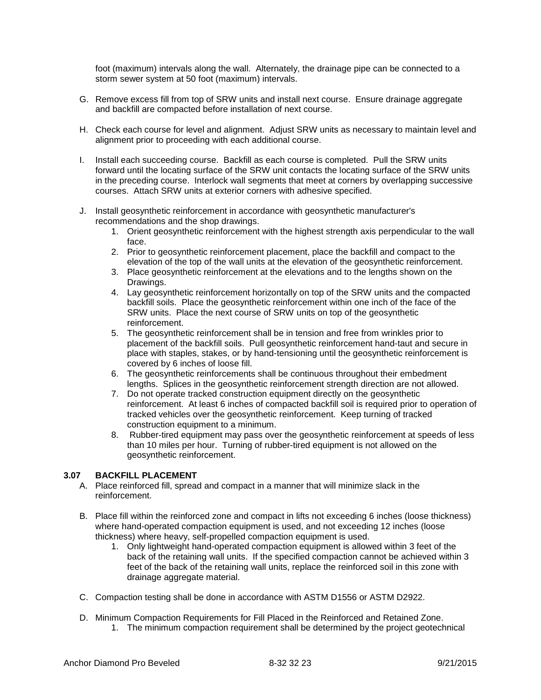foot (maximum) intervals along the wall. Alternately, the drainage pipe can be connected to a storm sewer system at 50 foot (maximum) intervals.

- G. Remove excess fill from top of SRW units and install next course. Ensure drainage aggregate and backfill are compacted before installation of next course.
- H. Check each course for level and alignment. Adjust SRW units as necessary to maintain level and alignment prior to proceeding with each additional course.
- I. Install each succeeding course. Backfill as each course is completed. Pull the SRW units forward until the locating surface of the SRW unit contacts the locating surface of the SRW units in the preceding course. Interlock wall segments that meet at corners by overlapping successive courses. Attach SRW units at exterior corners with adhesive specified.
- J. Install geosynthetic reinforcement in accordance with geosynthetic manufacturer's recommendations and the shop drawings.
	- 1. Orient geosynthetic reinforcement with the highest strength axis perpendicular to the wall face.
	- 2. Prior to geosynthetic reinforcement placement, place the backfill and compact to the elevation of the top of the wall units at the elevation of the geosynthetic reinforcement.
	- 3. Place geosynthetic reinforcement at the elevations and to the lengths shown on the Drawings.
	- 4. Lay geosynthetic reinforcement horizontally on top of the SRW units and the compacted backfill soils. Place the geosynthetic reinforcement within one inch of the face of the SRW units. Place the next course of SRW units on top of the geosynthetic reinforcement.
	- 5. The geosynthetic reinforcement shall be in tension and free from wrinkles prior to placement of the backfill soils. Pull geosynthetic reinforcement hand-taut and secure in place with staples, stakes, or by hand-tensioning until the geosynthetic reinforcement is covered by 6 inches of loose fill.
	- 6. The geosynthetic reinforcements shall be continuous throughout their embedment lengths. Splices in the geosynthetic reinforcement strength direction are not allowed.
	- 7. Do not operate tracked construction equipment directly on the geosynthetic reinforcement. At least 6 inches of compacted backfill soil is required prior to operation of tracked vehicles over the geosynthetic reinforcement. Keep turning of tracked construction equipment to a minimum.
	- 8. Rubber-tired equipment may pass over the geosynthetic reinforcement at speeds of less than 10 miles per hour. Turning of rubber-tired equipment is not allowed on the geosynthetic reinforcement.

# **3.07 BACKFILL PLACEMENT**

- A. Place reinforced fill, spread and compact in a manner that will minimize slack in the reinforcement.
- B. Place fill within the reinforced zone and compact in lifts not exceeding 6 inches (loose thickness) where hand-operated compaction equipment is used, and not exceeding 12 inches (loose thickness) where heavy, self-propelled compaction equipment is used.
	- 1. Only lightweight hand-operated compaction equipment is allowed within 3 feet of the back of the retaining wall units. If the specified compaction cannot be achieved within 3 feet of the back of the retaining wall units, replace the reinforced soil in this zone with drainage aggregate material.
- C. Compaction testing shall be done in accordance with ASTM D1556 or ASTM D2922.
- D. Minimum Compaction Requirements for Fill Placed in the Reinforced and Retained Zone. 1. The minimum compaction requirement shall be determined by the project geotechnical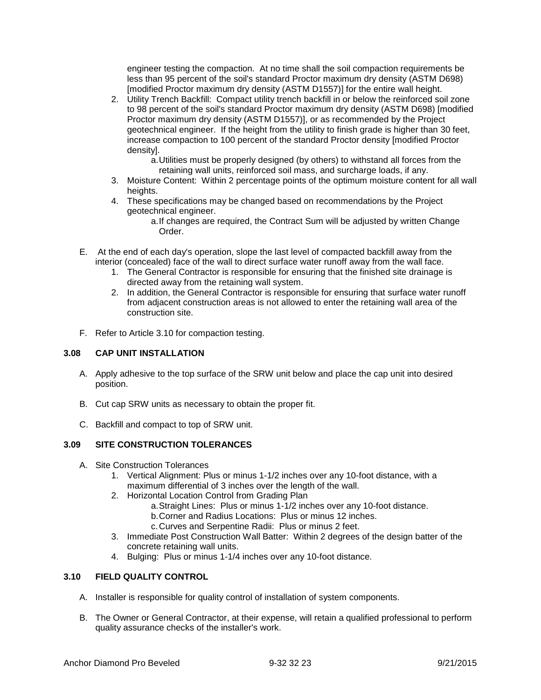engineer testing the compaction. At no time shall the soil compaction requirements be less than 95 percent of the soil's standard Proctor maximum dry density (ASTM D698) [modified Proctor maximum dry density (ASTM D1557)] for the entire wall height.

- 2. Utility Trench Backfill: Compact utility trench backfill in or below the reinforced soil zone to 98 percent of the soil's standard Proctor maximum dry density (ASTM D698) [modified Proctor maximum dry density (ASTM D1557)], or as recommended by the Project geotechnical engineer. If the height from the utility to finish grade is higher than 30 feet, increase compaction to 100 percent of the standard Proctor density [modified Proctor density].
	- a.Utilities must be properly designed (by others) to withstand all forces from the retaining wall units, reinforced soil mass, and surcharge loads, if any.
- 3. Moisture Content: Within 2 percentage points of the optimum moisture content for all wall heights.
- 4. These specifications may be changed based on recommendations by the Project geotechnical engineer.
	- a.If changes are required, the Contract Sum will be adjusted by written Change Order.
- E. At the end of each day's operation, slope the last level of compacted backfill away from the interior (concealed) face of the wall to direct surface water runoff away from the wall face.
	- 1. The General Contractor is responsible for ensuring that the finished site drainage is directed away from the retaining wall system.
	- 2. In addition, the General Contractor is responsible for ensuring that surface water runoff from adjacent construction areas is not allowed to enter the retaining wall area of the construction site.
- F. Refer to Article 3.10 for compaction testing.

## **3.08 CAP UNIT INSTALLATION**

- A. Apply adhesive to the top surface of the SRW unit below and place the cap unit into desired position.
- B. Cut cap SRW units as necessary to obtain the proper fit.
- C. Backfill and compact to top of SRW unit.

# **3.09 SITE CONSTRUCTION TOLERANCES**

- A. Site Construction Tolerances
	- 1. Vertical Alignment: Plus or minus 1-1/2 inches over any 10-foot distance, with a maximum differential of 3 inches over the length of the wall.
	- 2. Horizontal Location Control from Grading Plan
		- a.Straight Lines: Plus or minus 1-1/2 inches over any 10-foot distance.
		- b.Corner and Radius Locations: Plus or minus 12 inches.
		- c.Curves and Serpentine Radii: Plus or minus 2 feet.
	- 3. Immediate Post Construction Wall Batter: Within 2 degrees of the design batter of the concrete retaining wall units.
	- 4. Bulging: Plus or minus 1-1/4 inches over any 10-foot distance.

# **3.10 FIELD QUALITY CONTROL**

- A. Installer is responsible for quality control of installation of system components.
- B. The Owner or General Contractor, at their expense, will retain a qualified professional to perform quality assurance checks of the installer's work.